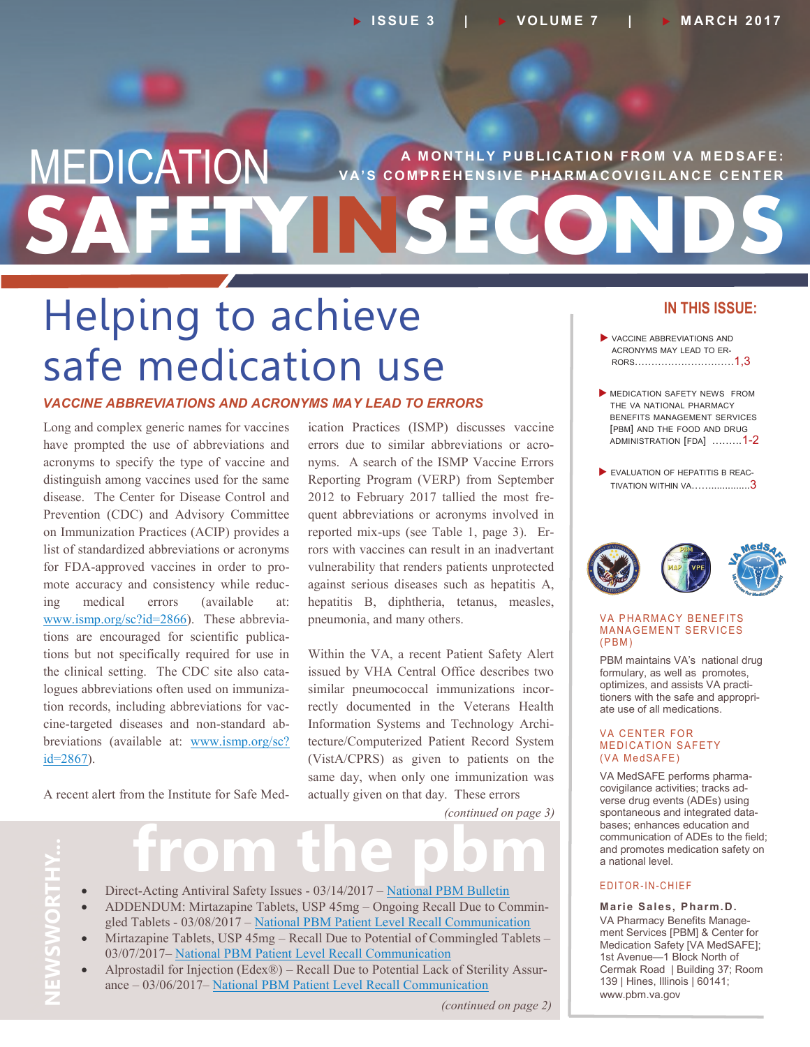## **SAFETYINSECONDS MEDICATION** VA'S COMPREHENSIVE PHARMACOVIGILANCE CENTER **V A' S C O M P R E H E N S I V E P H AR M AC O V I G I L AN C E C E N T E R**

## Helping to achieve safe medication use

#### *VACCINE ABBREVIATIONS AND ACRONYMS MAY LEAD TO ERRORS*

Long and complex generic names for vaccines have prompted the use of abbreviations and acronyms to specify the type of vaccine and distinguish among vaccines used for the same disease. The Center for Disease Control and Prevention (CDC) and Advisory Committee on Immunization Practices (ACIP) provides a list of standardized abbreviations or acronyms for FDA-approved vaccines in order to promote accuracy and consistency while reducing medical errors (available at: [www.ismp.org/sc?id=2866\).](http://www.ismp.org/sc?id=2866) These abbreviations are encouraged for scientific publications but not specifically required for use in the clinical setting. The CDC site also catalogues abbreviations often used on immunization records, including abbreviations for vaccine-targeted diseases and non-standard abbreviations (available at: [www.ismp.org/sc?](http://www.ismp.org/sc?id=2867) [id=2867\).](http://www.ismp.org/sc?id=2867)

A recent alert from the Institute for Safe Med-

ication Practices (ISMP) discusses vaccine errors due to similar abbreviations or acronyms. A search of the ISMP Vaccine Errors Reporting Program (VERP) from September 2012 to February 2017 tallied the most frequent abbreviations or acronyms involved in reported mix-ups (see Table 1, page 3). Errors with vaccines can result in an inadvertant vulnerability that renders patients unprotected against serious diseases such as hepatitis A, hepatitis B, diphtheria, tetanus, measles, pneumonia, and many others.

Within the VA, a recent Patient Safety Alert issued by VHA Central Office describes two similar pneumococcal immunizations incorrectly documented in the Veterans Health Information Systems and Technology Architecture/Computerized Patient Record System (VistA/CPRS) as given to patients on the same day, when only one immunization was actually given on that day. These errors

*(continued on page 3)*

# **from the pbm**

- Direct-Acting Antiviral Safety Issues 03/14/2017 [National PBM Bulletin](https://www.pbm.va.gov/PBM/vacenterformedicationsafety/Direct-Acting%20Antiviral%20Safety%20Issues.pdf)
- ADDENDUM: Mirtazapine Tablets, USP 45mg Ongoing Recall Due to Commingled Tablets - 03/08/2017 – [National PBM Patient Level Recall Communication](https://www.pbm.va.gov/PBM/vacenterformedicationsafety/ADDENDUMMirtazapineTabletsUSP45mgRecallDuetoPotentialofCommingledTablets.pdf)
- Mirtazapine Tablets, USP 45mg Recall Due to Potential of Commingled Tablets 03/07/2017– [National PBM Patient Level Recall Communication](https://www.pbm.va.gov/PBM/vacenterformedicationsafety/nationalpbmcommunication/MirtazapineRecallDuetoCommingledTablets_NationalPBMPatientLevel.pdf)
- Alprostadil for Injection (Edex®) Recall Due to Potential Lack of Sterility Assurance – 03/06/2017– [National PBM Patient Level Recall Communication](https://www.pbm.va.gov/PBM/vacenterformedicationsafety/nationalpbmcommunication/AlprostadilEdex10mcg2PackRecall_NationalPBMPatientLevelRecall.pdf)

#### *(continued on page 2)*

#### **IN THIS ISSUE:**

- VACCINE ABBREVIATIONS AND ACRONYMS MAY LEAD TO ER-RORS…………………………1,3
- MEDICATION SAFETY NEWS FROM THE VA NATIONAL PHARMACY BENEFITS MANAGEMENT SERVICES [PBM] AND THE FOOD AND DRUG ADMINISTRATION [FDA] .……..1-2
- EVALUATION OF HEPATITIS B REAC-TIVATION WITHIN VA……..............3



#### **VA PHARMACY BENEFITS MANAGEMENT SERVICES**  $(PBM)$

PBM maintains VA's national drug formulary, as well as promotes, optimizes, and assists VA practitioners with the safe and appropriate use of all medications.

#### **VA CENTER FOR MEDICATION SAFETY** (VA MedSAFE)

VA MedSAFE performs pharmacovigilance activities; tracks adverse drug events (ADEs) using spontaneous and integrated databases; enhances education and communication of ADEs to the field; and promotes medication safety on a national level.

#### E D I T O R - I N - C H I E F

**Marie Sales, Pharm.D.** VA Pharmacy Benefits Management Services [PBM] & Center for Medication Safety [VA MedSAFE]; 1st Avenue—1 Block North of Cermak Road | Building 37; Room 139 | Hines, Illinois | 60141; www.pbm.va.gov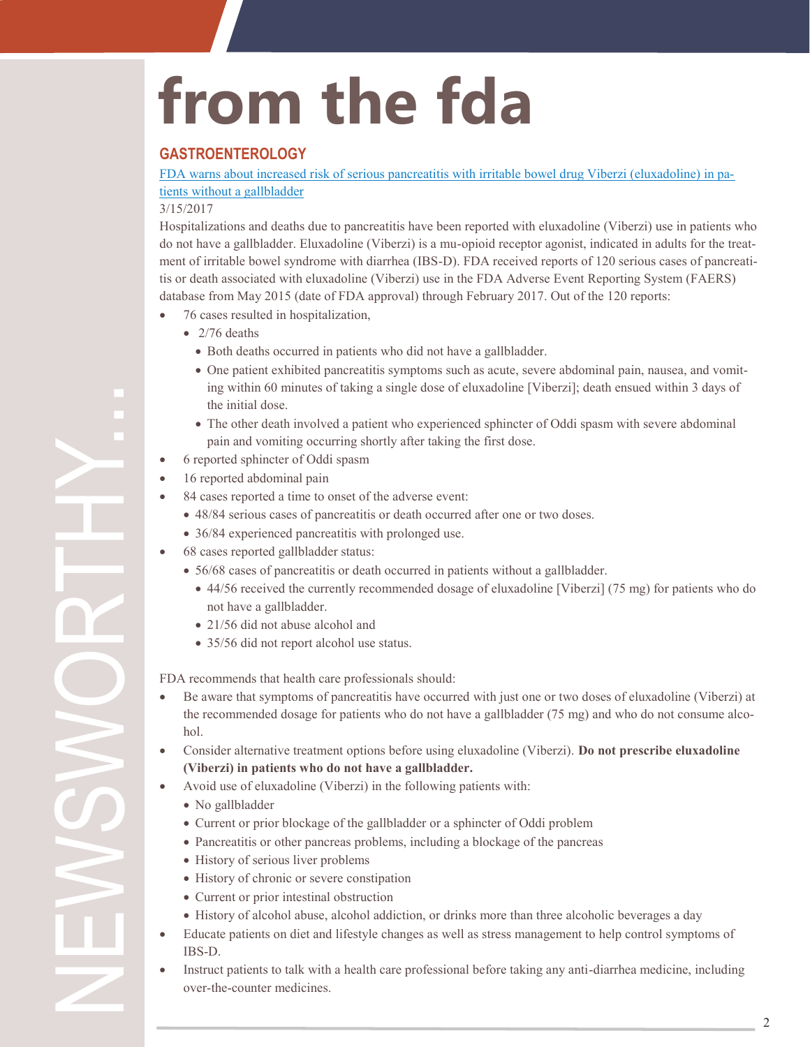# **from the fda**

#### **GASTROENTEROLOGY**

[FDA warns about increased risk of serious pancreatitis with irritable bowel drug Viberzi \(eluxadoline\) in pa](https://www.fda.gov/Drugs/DrugSafety/ucm546154.htm)[tients without a gallbladder](https://www.fda.gov/Drugs/DrugSafety/ucm546154.htm)

#### 3/15/2017

Hospitalizations and deaths due to pancreatitis have been reported with eluxadoline (Viberzi) use in patients who do not have a gallbladder. Eluxadoline (Viberzi) is a mu-opioid receptor agonist, indicated in adults for the treatment of irritable bowel syndrome with diarrhea (IBS-D). FDA received reports of 120 serious cases of pancreatitis or death associated with eluxadoline (Viberzi) use in the FDA Adverse Event Reporting System (FAERS) database from May 2015 (date of FDA approval) through February 2017. Out of the 120 reports:

- 76 cases resulted in hospitalization,
	- $\bullet$  2/76 deaths
		- Both deaths occurred in patients who did not have a gallbladder.
		- One patient exhibited pancreatitis symptoms such as acute, severe abdominal pain, nausea, and vomiting within 60 minutes of taking a single dose of eluxadoline [Viberzi]; death ensued within 3 days of the initial dose.
		- The other death involved a patient who experienced sphincter of Oddi spasm with severe abdominal pain and vomiting occurring shortly after taking the first dose.
- 6 reported sphincter of Oddi spasm
- 16 reported abdominal pain
- 84 cases reported a time to onset of the adverse event:
	- 48/84 serious cases of pancreatitis or death occurred after one or two doses.
	- 36/84 experienced pancreatitis with prolonged use.
- 68 cases reported gallbladder status:
	- 56/68 cases of pancreatitis or death occurred in patients without a gallbladder.
		- 44/56 received the currently recommended dosage of eluxadoline [Viberzi] (75 mg) for patients who do not have a gallbladder.
		- 21/56 did not abuse alcohol and
		- 35/56 did not report alcohol use status.

FDA recommends that health care professionals should:

- Be aware that symptoms of pancreatitis have occurred with just one or two doses of eluxadoline (Viberzi) at the recommended dosage for patients who do not have a gallbladder (75 mg) and who do not consume alcohol.
- Consider alternative treatment options before using eluxadoline (Viberzi). **Do not prescribe eluxadoline (Viberzi) in patients who do not have a gallbladder.**
- Avoid use of eluxadoline (Viberzi) in the following patients with:
	- No gallbladder

NEWSWORTHY...

- Current or prior blockage of the gallbladder or a sphincter of Oddi problem
- Pancreatitis or other pancreas problems, including a blockage of the pancreas
- History of serious liver problems
- History of chronic or severe constipation
- Current or prior intestinal obstruction
- History of alcohol abuse, alcohol addiction, or drinks more than three alcoholic beverages a day
- Educate patients on diet and lifestyle changes as well as stress management to help control symptoms of IBS-D.
- Instruct patients to talk with a health care professional before taking any anti-diarrhea medicine, including over-the-counter medicines.